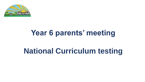

# **Year 6 parents' meeting**

# **National Curriculum testing**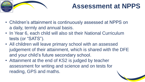

### **Assessment at NPPS**

- Children's attainment is continuously assessed at NPPS on a daily, termly and annual basis.
- In Year 6, each child will also sit their National Curriculum tests (or "SATS").
- All children will leave primary school with an assessed judgement of their attainment, which is shared with the DFE and your child's future secondary school.
- Attainment at the end of KS2 is judged by teacher assessment for writing and science and on tests for reading, GPS and maths.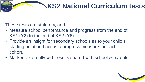# **KS2 National Curriculum tests**

These tests are statutory, and...

- Measure school performance and progress from the end of KS1 (Y2) to the end of KS2 (Y6).
- Provide an insight for secondary schools as to your child's starting point and act as a progress measure for each cohort.
- Marked externally with results shared with school & parents.

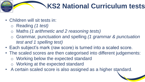### **KS2 National Curriculum tests**

- Children will sit tests in:
	- o Reading *(1 test)*
	- o Maths *(1 arithmetic and 2 reasoning tests)*
	- o Grammar, punctuation and spelling *(1 grammar & punctuation test and 1 spelling test)*
- Each subject's mark (raw score) is turned into a scaled score.
- The scaled scores are then categorised into different judgements: o Working below the expected standard o Working at the expected standard
- A certain scaled score is also assigned as a higher standard.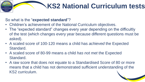# **KS2 National Curriculum tests**

So what is the "**expected standard**"?

- Children's achievement of the National Curriculum objectives.
- The "expected standard" changes every year depending on the difficultly of the test (which changes every year because different questions must be asked).
- A scaled score of 100-120 means a child has *achieved* the Expected Standard.
- A scaled score of 80-99 means a child *has not met* the Expected Standard.
- A raw score that does not equate to a Standardised Score of 80 or more means that a child has not demonstrated sufficient understanding of the KS2 curriculum.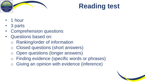

### **Reading test**

- 1 hour
- 3 parts
- Comprehension questions
- Questions based on:
	- o Ranking/order of information
	- o Closed questions (short answers)
	- Open questions (longer answers)
	- o Finding evidence (specific words or phrases)
	- o Giving an opinion with evidence (inference)

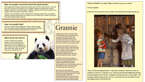### Why are people concerned about the giant panda?

Many people fear that giant pandas will become extinct as only a few are born in the wild each year and they do not always survive. Bamboo supplies are diminishing in panda habitats, cutting off a vital food supply. In addition, poaching and humans moving into the pandas' territory have also reduced their numbers.

There are very few pandas in zoos, although this is changing. Where there are pandas in captivity, important programmes are in place to try to increase their numbers and find out more about these puzzling creatures.

**IVITAL** 

### How can people help?

There are projects where people are invited to 'adopt a panda'. The money goes towards researching, protecting and monitoring them. It also goes towards supporting them in the wild.

### What about the future?

In two of China's main research centres, 19 cubs have been born. There are now over 300 pandas in captivity and the next challenge is to return them to the wild. The Chinese government has created 50 panda reserves to continue the work.

### Grannie

I stayed with her when I was six then went To live elsewhere when I was eight years old. For ages I remembered her faint scent Of lavender, the way she'd never scold No matter what I'd done, and most of all The way her smile seemed, somehow, to enfold My whole world like a warm, protective shawl.

I knew that I was safe when she was near. She was so tall, so wide, so large, she would Stand mountainous between me and my fear, Yet oh, so gentle, and she understood Every hope and dream I ever had. She praised me lavishly when I was good, But never punished me when I was bad.

Years later war broke out and I became A soldier and was wounded while in France. Back home in hospital, still very lame, I realised suddenly that circumstance Had brought me close to that small town where she Was living still. And so I seized the chance To write and ask if she could visit me.

She came. And I still vividly recall The shock that I received when she appeared That dark cold day. Huge grannie was so small! A tiny, frail, old lady. It was weird. She hobbled through the ward to where I lay And drew quite close and, hesitating, peered. And then she smiled: and love lit up the day.

"Edward, EDWARD!" she called, "What on Earth are you up to in there?"

### The door opened.

It took her a few seconds to work out what I was doing; then she leapt towards me.



"Give me that immediately, Edward." I drew back cautiously. "That box is mine, It's nothing to do with you. It belongs to me." She came forward with frightening intensity, her hand reaching out for the box. I hesitated. If it really was hers, I had no right... But a stronger sense of justice broke out in me. I had found it by my own efforts. For the time being, at least, it should be mine.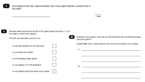

According to the text, approximately how many giant pandas currently live in the wild?

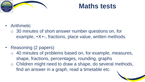

### **Maths tests**

- Arithmetic
	- o 30 minutes of short answer number questions on, for example, ÷X+-, fractions, place value, written methods.
- Reasoning (2 papers)
	- o 40 minutes of problems based on, for example, measures, shape, fractions, percentages, rounding, graphs
	- o Children might need to draw a shape, do several methods, find an answer in a graph, read a timetable etc.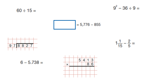$60 \div 15 =$ 

$$
\boxed{\qquad \qquad } = 5,776-855
$$



$$
1\frac{1}{15} - \frac{2}{5} =
$$

 $9^2 - 36 \div 9 =$ 



 $6 - 5.738 =$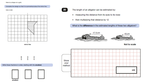Complete the design so that it is symmetrical about the mirror line.

Use a ruler.



mirror line

 $\frac{6}{5}$  $\frac{3}{4}$  $\frac{3}{5}$ 

Write these fractions in order, starting with the smallest.





The length of an alligator can be estimated by:

- measuring the distance from its eyes to its nose
- then multiplying that distance by 12

What is the difference in the estimated lengths of these two alligators?



Not to scale



smallest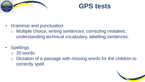



- Grammar and punctuation
	- o Multiple choice, writing sentences, correcting mistakes, understanding technical vocabulary, labelling sentences.
- Spellings
	- o 20 words
	- o Dictation of a passage with missing words for the children to correctly spell.

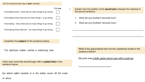### Tick the sentence that uses a dash correctly.



I find baking tricky there are - too many things to go wrong.

Underline the subject of the sentence below.

The tightrope walker carried a balancing pole.

Circle each word that should begin with a capital letter in the sentence below

the island called zanzibar is in the indian ocean off the coast

Explain how the position of the apostrophe changes the meaning of the second sentence.

- What are your brother's favourite toys?  $1.$
- 2. What are your brothers' favourite toys?

What is the grammatical term for the underlined words in the sentence below?

My prize was a fluffy green pencil case with a gold zip.

of africa.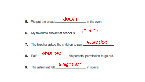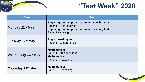

### **"Test Week" 2020**

| <b>Date</b>        | <b>Test</b>                                                                                                                                         |
|--------------------|-----------------------------------------------------------------------------------------------------------------------------------------------------|
| Monday 11th May    | English grammar, punctuation and spelling test:<br>Paper 1 - short answers<br>English grammar, punctuation and spelling test:<br>Paper 2 - spelling |
| Tuesday 12th May   | <b>English reading test:</b><br>Paper 1 - comprehension                                                                                             |
| Wednesday 13th May | <b>Mathematics:</b><br>Paper 1 - Arithmetic test<br><b>Mathematics:</b><br>Paper 2 - Reasoning                                                      |
| Thursday 14th May  | <b>Mathematics:</b><br>Paper 3 - Reasoning                                                                                                          |

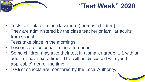

### **"Test Week" 2020**

- Tests take place in the classroom (for most children).
- They are administered by the class teacher or familiar adults from school.
- Tests take place in the mornings.
- Lessons are 'as usual' in the afternoons.
- Some children may take their test in a smaller group, 1:1 with an adult, or have extra time. This will be discussed with you (if applicable) nearer the time.
- 10% of schools are monitored by the Local Authority.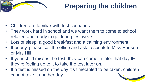

## **Preparing the children**

- Children are familiar with test scenarios.
- They work hard in school and we want them to come to school relaxed and ready to go during test week.
- Lots of sleep, a good breakfast and a calming environment.
- If poorly, please call the office and ask to speak to Miss Hudson or Mrs Hill.
- If your child misses the test, they can come in later that day IF they're feeling up to it to take the test later on.
- If a test is missed on the day it's timetabled to be taken, children cannot take it another day.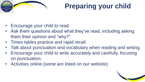

# **Preparing your child**

- Encourage your child to read.
- Ask them questions about what they've read, including asking them their opinion and "why?"
- Times tables practice and rapid recall.
- Talk about punctuation and vocabulary when reading and writing.
- Encourage your child to write accurately and carefully, focusing on punctuation.
- Activities online (some are listed on our website).